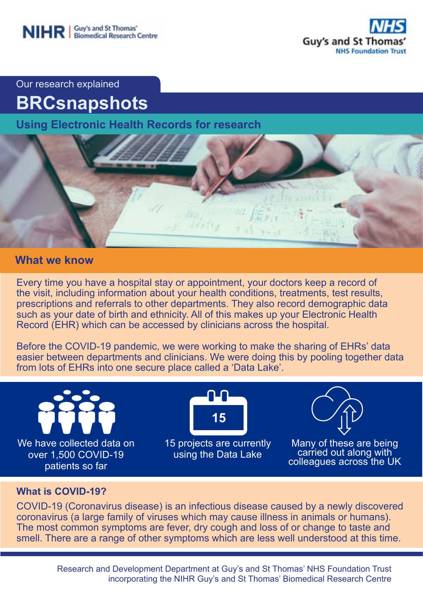



Our research explained

# **BRCsnapshots**

**Using Electronic Health Records for research**



### **What we know**

Every time you have a hospital stay or appointment, your doctors keep a record of the visit, including information about your health conditions, treatments, test results, prescriptions and referrals to other departments. They also record demographic data such as your date of birth and ethnicity. All of this makes up your Electronic Health Record (EHR) which can be accessed by clinicians across the hospital.

Before the COVID-19 pandemic, we were working to make the sharing of EHRs' data easier between departments and clinicians. We were doing this by pooling together data from lots of EHRs into one secure place called a 'Data Lake'.



#### **What is COVID-19?**

COVID-19 (Coronavirus disease) is an infectious disease caused by a newly discovered coronavirus (a large family of viruses which may cause illness in animals or humans). The most common symptoms are fever, dry cough and loss of or change to taste and smell. There are a range of other symptoms which are less well understood at this time.

> Research and Development Department at Guy's and St Thomas' NHS Foundation Trust incorporating the NIHR Guy's and St Thomas' Biomedical Research Centre